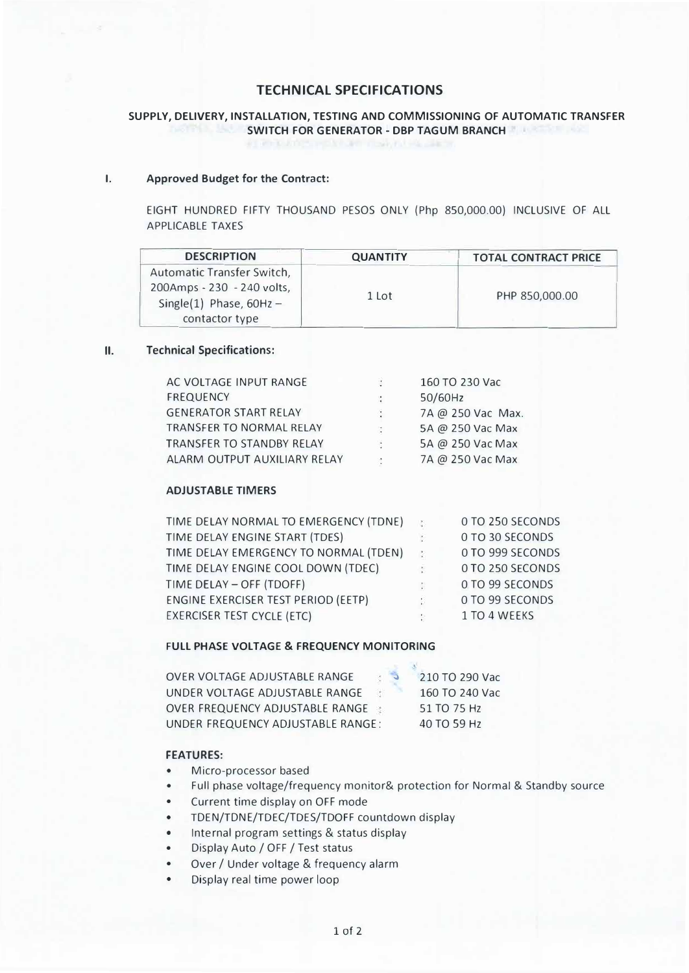# **TECHNICAL SPECIFICATIONS**

# **SUPPLY, DELIVERY, INSTALLATION, TESTING AND COMMISSIONING OF AUTOMATIC TRANSFER SWITCH FOR GENERATOR - DBP TAGUM BRANCH**

#### **I. Approved Budget for the Contract:**

EIGHT HUNDRED FIFTY THOUSAND PESOS ONLY (Php 850,000.00) INCLUSIVE OF ALL APPLICABLE TAXES

| <b>DESCRIPTION</b>         | <b>QUANTITY</b> | <b>TOTAL CONTRACT PRICE</b> |  |  |
|----------------------------|-----------------|-----------------------------|--|--|
| Automatic Transfer Switch, |                 |                             |  |  |
| 200Amps - 230 - 240 volts, |                 | PHP 850,000.00              |  |  |
| Single(1) Phase, $60Hz -$  | 1 Lot           |                             |  |  |
| contactor type             |                 |                             |  |  |

#### **II.Technical Specifications:**

| AC VOLTAGE INPUT RANGE           |    | 160 TO 230 Vac    |
|----------------------------------|----|-------------------|
| <b>FREQUENCY</b>                 | ÷  | 50/60Hz           |
| <b>GENERATOR START RELAY</b>     | Ø. | 7A @ 250 Vac Max. |
| <b>TRANSFER TO NORMAL RELAY</b>  | и  | 5A @ 250 Vac Max  |
| <b>TRANSFER TO STANDBY RELAY</b> | ÷  | 5A @ 250 Vac Max  |
| ALARM OUTPUT AUXILIARY RELAY     |    | 7A @ 250 Vac Max  |
|                                  |    |                   |

## **ADJUSTABLE TIMERS**

| TIME DELAY NORMAL TO EMERGENCY (TDNE) |   | 0 TO 250 SECONDS |
|---------------------------------------|---|------------------|
| TIME DELAY ENGINE START (TDES)        |   | O TO 30 SECONDS  |
| TIME DELAY EMERGENCY TO NORMAL (TDEN) | ÷ | 0 TO 999 SECONDS |
| TIME DELAY ENGINE COOL DOWN (TDEC)    |   | 0 TO 250 SECONDS |
| TIME DELAY - OFF (TDOFF)              | ÷ | O TO 99 SECONDS  |
| ENGINE EXERCISER TEST PERIOD (EETP)   |   | 0 TO 99 SECONDS  |
| <b>EXERCISER TEST CYCLE (ETC)</b>     | × | 1 TO 4 WEEKS     |

#### **FULL PHASE VOLTAGE & FREQUENCY MONITORING**

| OVER VOLTAGE ADJUSTABLE RANGE     |  | 210 TO 290 Vac |
|-----------------------------------|--|----------------|
| UNDER VOLTAGE ADJUSTABLE RANGE    |  | 160 TO 240 Vac |
| OVER FREQUENCY ADJUSTABLE RANGE:  |  | 51 TO 75 Hz    |
| UNDER FREQUENCY ADJUSTABLE RANGE: |  | 40 TO 59 Hz    |

## **FEATURES:**

- •Micro-processor based
- •Full phase voltage/frequency monitor& protection for Normal & Standby source
- •Current time display on OFF mode
- •TDEN/TDNE/TDEC/TDES/TDOFF countdown display
- Internal program settings & status display
- •Display Auto / OFF / Test status
- •Over / Under voltage & frequency alarm
- •Display real time power loop